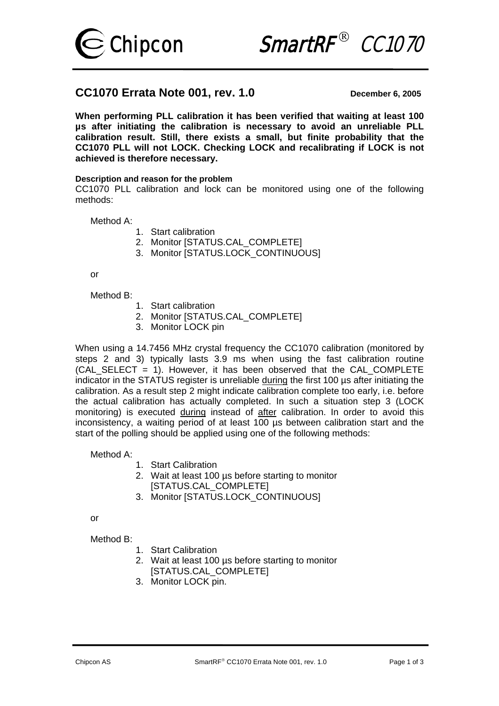



# **CC1070 Errata Note 001, rev. 1.0** December 6, 2005

**When performing PLL calibration it has been verified that waiting at least 100 µs after initiating the calibration is necessary to avoid an unreliable PLL calibration result. Still, there exists a small, but finite probability that the CC1070 PLL will not LOCK. Checking LOCK and recalibrating if LOCK is not achieved is therefore necessary.** 

## **Description and reason for the problem**

CC1070 PLL calibration and lock can be monitored using one of the following methods:

Method A:

- 1. Start calibration
- 2. Monitor [STATUS.CAL\_COMPLETE]
- 3. Monitor ISTATUS.LOCK\_CONTINUOUS1

or

### Method B:

- 1. Start calibration
- 2. Monitor [STATUS.CAL\_COMPLETE]
- 3. Monitor LOCK pin

When using a 14.7456 MHz crystal frequency the CC1070 calibration (monitored by steps 2 and 3) typically lasts 3.9 ms when using the fast calibration routine (CAL SELECT  $= 1$ ). However, it has been observed that the CAL COMPLETE indicator in the STATUS register is unreliable during the first 100 us after initiating the calibration. As a result step 2 might indicate calibration complete too early, i.e. before the actual calibration has actually completed. In such a situation step 3 (LOCK monitoring) is executed during instead of after calibration. In order to avoid this inconsistency, a waiting period of at least 100 µs between calibration start and the start of the polling should be applied using one of the following methods:

Method A:

- 1. Start Calibration
- 2. Wait at least 100 µs before starting to monitor [STATUS.CAL\_COMPLETE]
- 3. Monitor [STATUS.LOCK\_CONTINUOUS]

or

Method B:

- 1. Start Calibration
- 2. Wait at least 100 µs before starting to monitor [STATUS.CAL\_COMPLETE]
- 3. Monitor LOCK pin.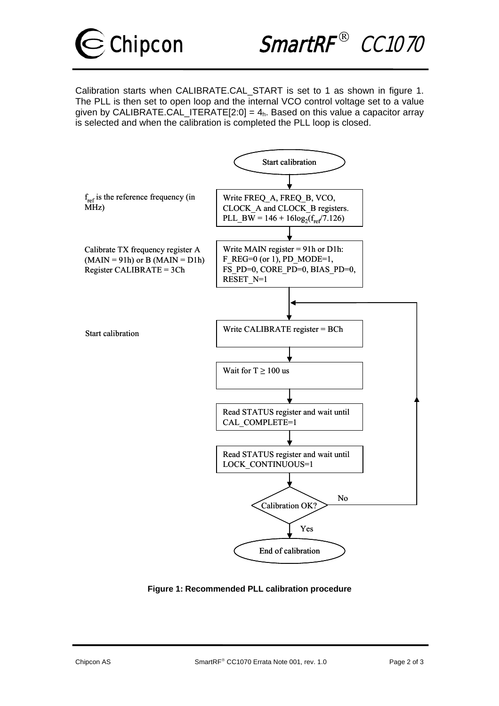

Chipcon SmartRF ${}^{\circ\circ}$  CC1070

Calibration starts when CALIBRATE.CAL\_START is set to 1 as shown in figure 1. The PLL is then set to open loop and the internal VCO control voltage set to a value given by CALIBRATE.CAL\_ITERATE[2:0] =  $4<sub>h</sub>$ . Based on this value a capacitor array is selected and when the calibration is completed the PLL loop is closed.



**Figure 1: Recommended PLL calibration procedure**